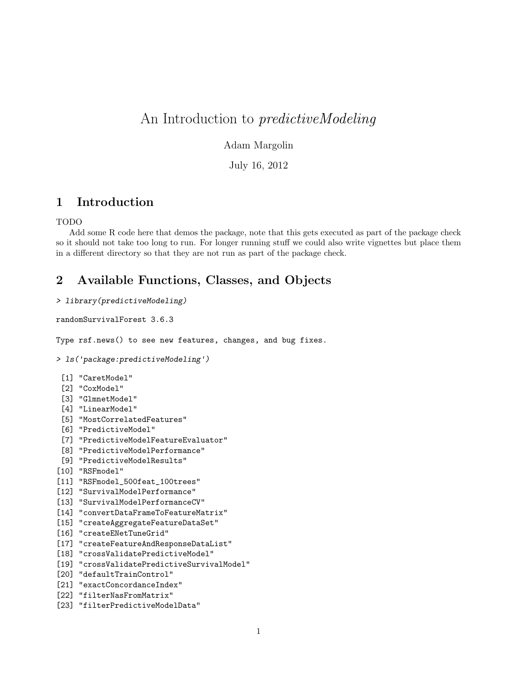# An Introduction to predictiveModeling

#### Adam Margolin

July 16, 2012

# 1 Introduction

#### TODO

Add some R code here that demos the package, note that this gets executed as part of the package check so it should not take too long to run. For longer running stuff we could also write vignettes but place them in a different directory so that they are not run as part of the package check.

# 2 Available Functions, Classes, and Objects

#### > library(predictiveModeling)

randomSurvivalForest 3.6.3

Type rsf.news() to see new features, changes, and bug fixes.

```
> ls('package:predictiveModeling')
```

```
[1] "CaretModel"
```
- [2] "CoxModel"
- [3] "GlmnetModel"
- [4] "LinearModel"
- [5] "MostCorrelatedFeatures"
- [6] "PredictiveModel"
- [7] "PredictiveModelFeatureEvaluator"
- [8] "PredictiveModelPerformance"
- [9] "PredictiveModelResults"
- [10] "RSFmodel"
- [11] "RSFmodel\_500feat\_100trees"
- [12] "SurvivalModelPerformance"
- [13] "SurvivalModelPerformanceCV"
- [14] "convertDataFrameToFeatureMatrix"
- [15] "createAggregateFeatureDataSet"
- [16] "createENetTuneGrid"
- [17] "createFeatureAndResponseDataList"
- [18] "crossValidatePredictiveModel"
- [19] "crossValidatePredictiveSurvivalModel"
- [20] "defaultTrainControl"
- [21] "exactConcordanceIndex"
- [22] "filterNasFromMatrix"
- [23] "filterPredictiveModelData"